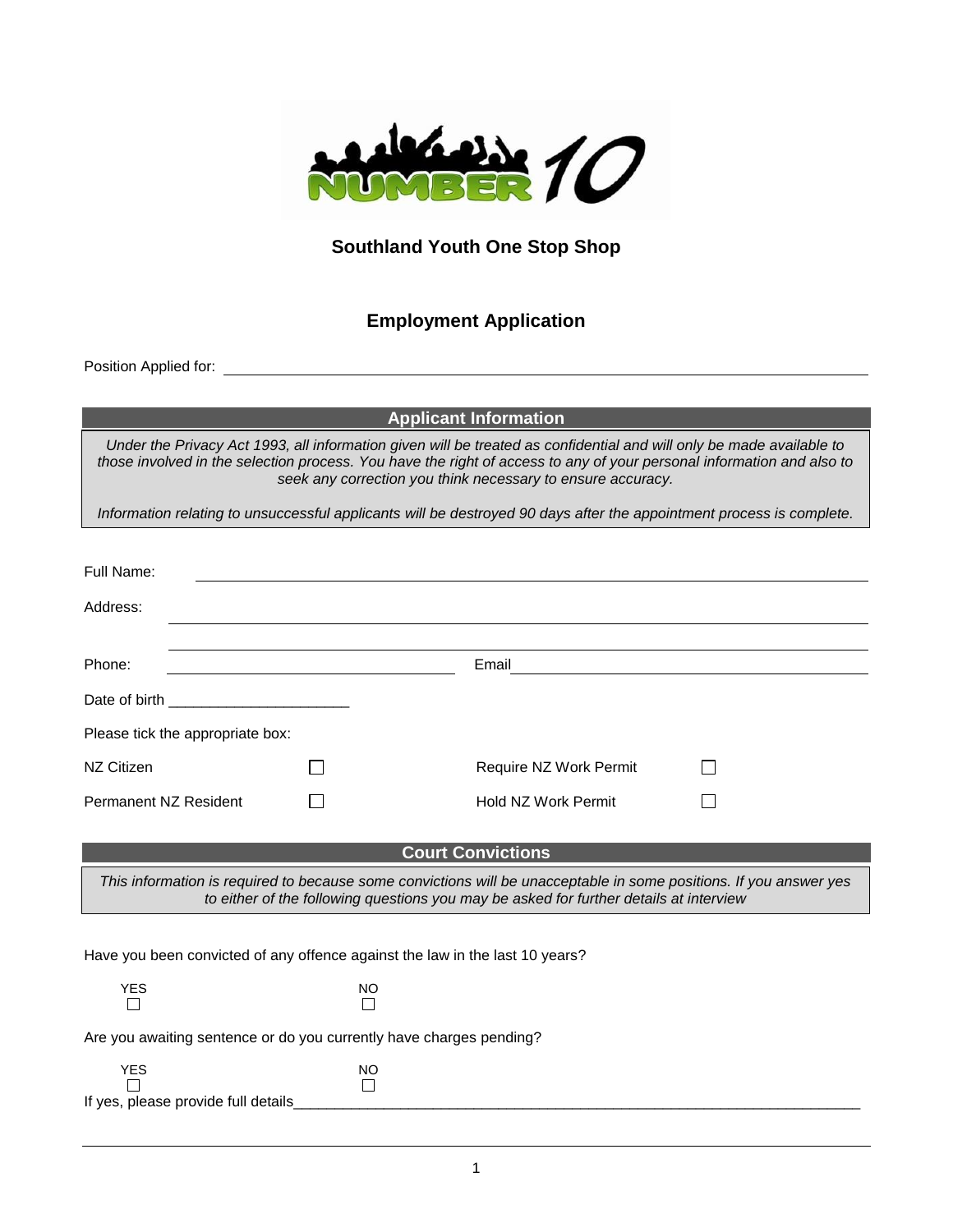

## **Southland Youth One Stop Shop**

# **Employment Application**

Position Applied for:

**Applicant Information**

*Under the Privacy Act 1993, all information given will be treated as confidential and will only be made available to those involved in the selection process. You have the right of access to any of your personal information and also to seek any correction you think necessary to ensure accuracy.*

*Information relating to unsuccessful applicants will be destroyed 90 days after the appointment process is complete.*

| Full Name:                                                                                                                                                                                                   |           |                          |  |  |  |
|--------------------------------------------------------------------------------------------------------------------------------------------------------------------------------------------------------------|-----------|--------------------------|--|--|--|
| Address:                                                                                                                                                                                                     |           |                          |  |  |  |
|                                                                                                                                                                                                              |           |                          |  |  |  |
| Phone:                                                                                                                                                                                                       |           | Email                    |  |  |  |
|                                                                                                                                                                                                              |           |                          |  |  |  |
| Please tick the appropriate box:                                                                                                                                                                             |           |                          |  |  |  |
| NZ Citizen                                                                                                                                                                                                   |           | Require NZ Work Permit   |  |  |  |
| <b>Permanent NZ Resident</b>                                                                                                                                                                                 |           | Hold NZ Work Permit      |  |  |  |
|                                                                                                                                                                                                              |           |                          |  |  |  |
|                                                                                                                                                                                                              |           | <b>Court Convictions</b> |  |  |  |
| This information is required to because some convictions will be unacceptable in some positions. If you answer yes<br>to either of the following questions you may be asked for further details at interview |           |                          |  |  |  |
|                                                                                                                                                                                                              |           |                          |  |  |  |
| Have you been convicted of any offence against the law in the last 10 years?                                                                                                                                 |           |                          |  |  |  |
| <b>YES</b><br>П                                                                                                                                                                                              | NO        |                          |  |  |  |
| Are you awaiting sentence or do you currently have charges pending?                                                                                                                                          |           |                          |  |  |  |
| <b>YES</b>                                                                                                                                                                                                   | <b>NO</b> |                          |  |  |  |
| If yes, please provide full details                                                                                                                                                                          |           |                          |  |  |  |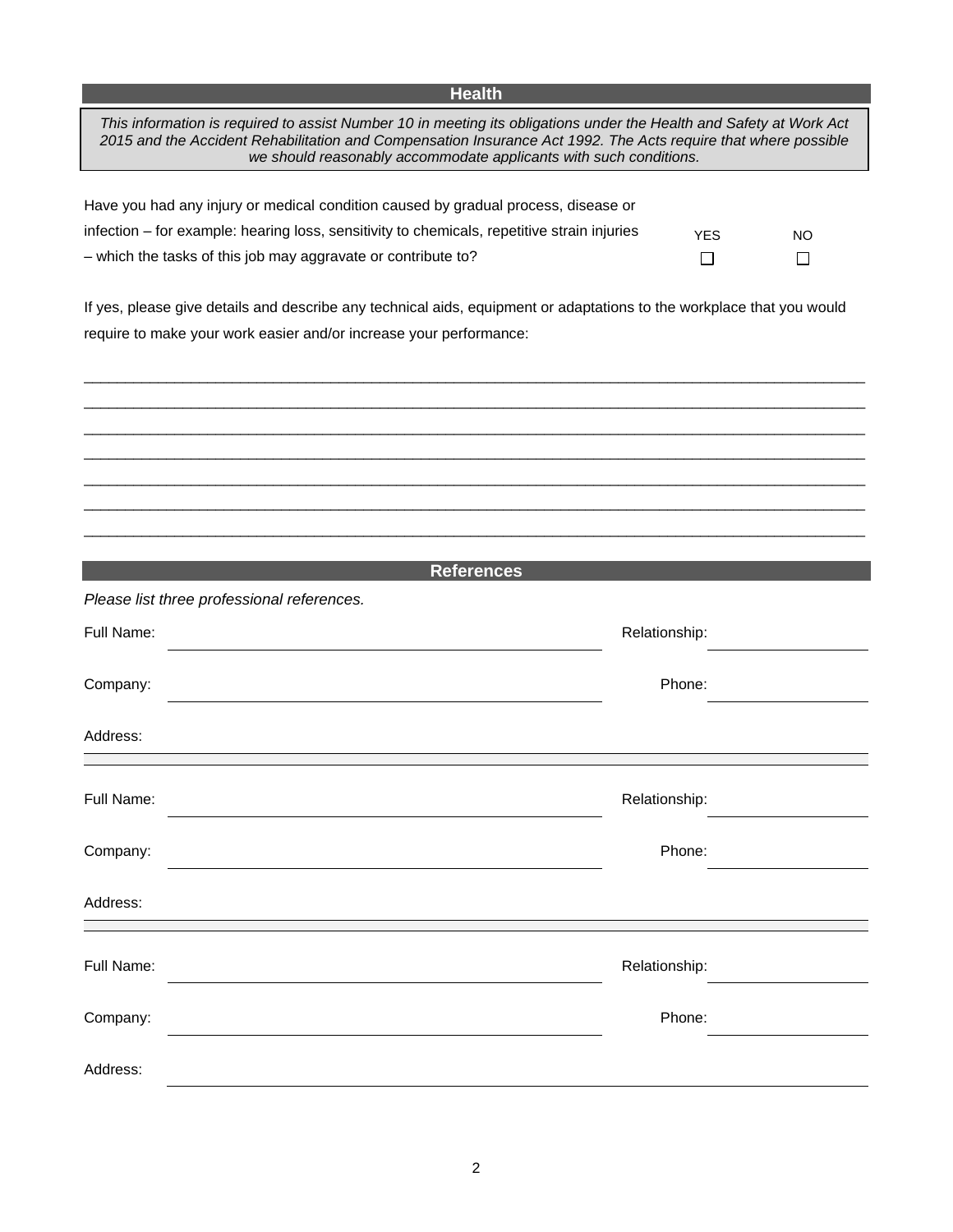## **Health Health**

| This information is required to assist Number 10 in meeting its obligations under the Health and Safety at Work Act<br>2015 and the Accident Rehabilitation and Compensation Insurance Act 1992. The Acts require that where possible<br>we should reasonably accommodate applicants with such conditions. |               |           |  |  |  |
|------------------------------------------------------------------------------------------------------------------------------------------------------------------------------------------------------------------------------------------------------------------------------------------------------------|---------------|-----------|--|--|--|
|                                                                                                                                                                                                                                                                                                            |               |           |  |  |  |
| Have you had any injury or medical condition caused by gradual process, disease or                                                                                                                                                                                                                         |               |           |  |  |  |
| infection – for example: hearing loss, sensitivity to chemicals, repetitive strain injuries                                                                                                                                                                                                                | <b>YES</b>    | <b>NO</b> |  |  |  |
| - which the tasks of this job may aggravate or contribute to?                                                                                                                                                                                                                                              | $\Box$        | $\Box$    |  |  |  |
|                                                                                                                                                                                                                                                                                                            |               |           |  |  |  |
| If yes, please give details and describe any technical aids, equipment or adaptations to the workplace that you would                                                                                                                                                                                      |               |           |  |  |  |
| require to make your work easier and/or increase your performance:                                                                                                                                                                                                                                         |               |           |  |  |  |
|                                                                                                                                                                                                                                                                                                            |               |           |  |  |  |
|                                                                                                                                                                                                                                                                                                            |               |           |  |  |  |
|                                                                                                                                                                                                                                                                                                            |               |           |  |  |  |
|                                                                                                                                                                                                                                                                                                            |               |           |  |  |  |
|                                                                                                                                                                                                                                                                                                            |               |           |  |  |  |
|                                                                                                                                                                                                                                                                                                            |               |           |  |  |  |
|                                                                                                                                                                                                                                                                                                            |               |           |  |  |  |
|                                                                                                                                                                                                                                                                                                            |               |           |  |  |  |
|                                                                                                                                                                                                                                                                                                            |               |           |  |  |  |
| <b>References</b>                                                                                                                                                                                                                                                                                          |               |           |  |  |  |
| Please list three professional references.                                                                                                                                                                                                                                                                 |               |           |  |  |  |
|                                                                                                                                                                                                                                                                                                            |               |           |  |  |  |
| Full Name:                                                                                                                                                                                                                                                                                                 | Relationship: |           |  |  |  |
|                                                                                                                                                                                                                                                                                                            |               |           |  |  |  |
| Company:                                                                                                                                                                                                                                                                                                   | Phone:        |           |  |  |  |
|                                                                                                                                                                                                                                                                                                            |               |           |  |  |  |
| Address:                                                                                                                                                                                                                                                                                                   |               |           |  |  |  |
|                                                                                                                                                                                                                                                                                                            |               |           |  |  |  |
| Full Name:                                                                                                                                                                                                                                                                                                 | Relationship: |           |  |  |  |
|                                                                                                                                                                                                                                                                                                            |               |           |  |  |  |
|                                                                                                                                                                                                                                                                                                            |               |           |  |  |  |
| Company:                                                                                                                                                                                                                                                                                                   | Phone:        |           |  |  |  |
|                                                                                                                                                                                                                                                                                                            |               |           |  |  |  |
| Address:                                                                                                                                                                                                                                                                                                   |               |           |  |  |  |
|                                                                                                                                                                                                                                                                                                            |               |           |  |  |  |
| Full Name:                                                                                                                                                                                                                                                                                                 | Relationship: |           |  |  |  |
|                                                                                                                                                                                                                                                                                                            |               |           |  |  |  |
| Company:                                                                                                                                                                                                                                                                                                   | Phone:        |           |  |  |  |
|                                                                                                                                                                                                                                                                                                            |               |           |  |  |  |
|                                                                                                                                                                                                                                                                                                            |               |           |  |  |  |
| Address:                                                                                                                                                                                                                                                                                                   |               |           |  |  |  |